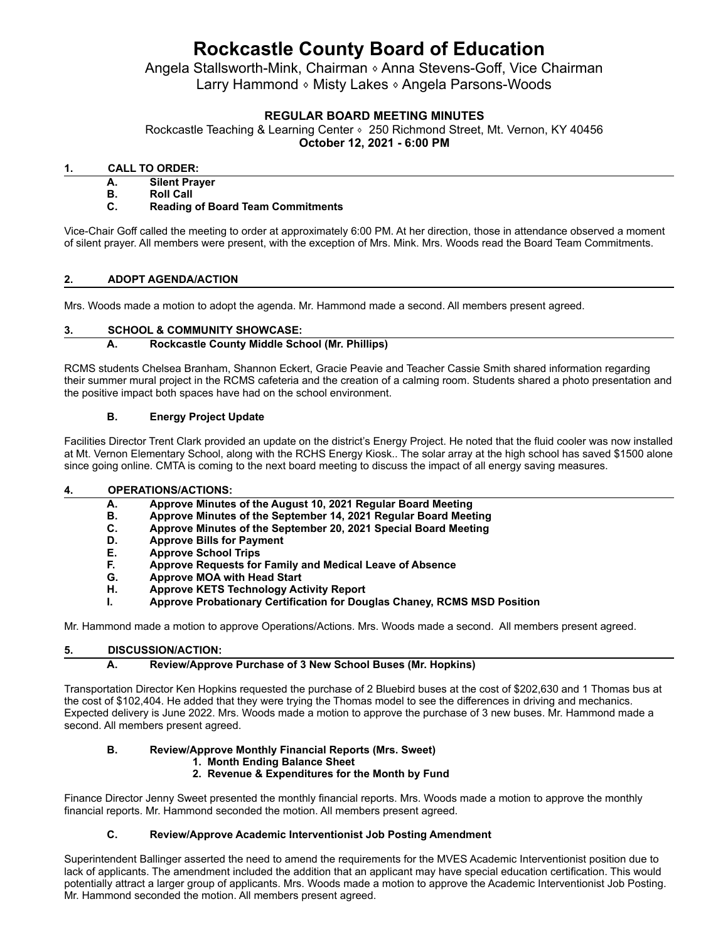# **Rockcastle County Board of Education**

Angela Stallsworth-Mink, Chairman <sup>®</sup> Anna Stevens-Goff, Vice Chairman Larry Hammond ⬧ Misty Lakes ⬧ Angela Parsons-Woods

## **REGULAR BOARD MEETING MINUTES**

Rockcastle Teaching & Learning Center • 250 Richmond Street, Mt. Vernon, KY 40456 **October 12, 2021 - 6:00 PM**

### **1. CALL TO ORDER:**

**A. Silent Prayer**

**B. Roll Call**

### **C. Reading of Board Team Commitments**

Vice-Chair Goff called the meeting to order at approximately 6:00 PM. At her direction, those in attendance observed a moment of silent prayer. All members were present, with the exception of Mrs. Mink. Mrs. Woods read the Board Team Commitments.

### **2. ADOPT AGENDA/ACTION**

Mrs. Woods made a motion to adopt the agenda. Mr. Hammond made a second. All members present agreed.

## **3. SCHOOL & COMMUNITY SHOWCASE:**

## **A. Rockcastle County Middle School (Mr. Phillips)**

RCMS students Chelsea Branham, Shannon Eckert, Gracie Peavie and Teacher Cassie Smith shared information regarding their summer mural project in the RCMS cafeteria and the creation of a calming room. Students shared a photo presentation and the positive impact both spaces have had on the school environment.

### **B. Energy Project Update**

Facilities Director Trent Clark provided an update on the district's Energy Project. He noted that the fluid cooler was now installed at Mt. Vernon Elementary School, along with the RCHS Energy Kiosk.. The solar array at the high school has saved \$1500 alone since going online. CMTA is coming to the next board meeting to discuss the impact of all energy saving measures.

#### **4. OPERATIONS/ACTIONS:**

| А. | Approve Minutes of the August 10, 2021 Regular Board Meeting    |
|----|-----------------------------------------------------------------|
| В. | Approve Minutes of the September 14, 2021 Regular Board Meeting |
| C. | Approve Minutes of the September 20, 2021 Special Board Meeting |

- **D. Approve Bills for Payment**
- **E. Approve School Trips**
- **F. Approve Requests for Family and Medical Leave of Absence**
- **G. Approve MOA with Head Start**
- **H. Approve KETS Technology Activity Report**
- **I. Approve Probationary Certification for Douglas Chaney, RCMS MSD Position**

Mr. Hammond made a motion to approve Operations/Actions. Mrs. Woods made a second. All members present agreed.

## **5. DISCUSSION/ACTION:**

## **A. Review/Approve Purchase of 3 New School Buses (Mr. Hopkins)**

Transportation Director Ken Hopkins requested the purchase of 2 Bluebird buses at the cost of \$202,630 and 1 Thomas bus at the cost of \$102,404. He added that they were trying the Thomas model to see the differences in driving and mechanics. Expected delivery is June 2022. Mrs. Woods made a motion to approve the purchase of 3 new buses. Mr. Hammond made a second. All members present agreed.

## **B. Review/Approve Monthly Financial Reports (Mrs. Sweet)**

#### **1. Month Ending Balance Sheet**

## **2. Revenue & Expenditures for the Month by Fund**

Finance Director Jenny Sweet presented the monthly financial reports. Mrs. Woods made a motion to approve the monthly financial reports. Mr. Hammond seconded the motion. All members present agreed.

## **C. Review/Approve Academic Interventionist Job Posting Amendment**

Superintendent Ballinger asserted the need to amend the requirements for the MVES Academic Interventionist position due to lack of applicants. The amendment included the addition that an applicant may have special education certification. This would potentially attract a larger group of applicants. Mrs. Woods made a motion to approve the Academic Interventionist Job Posting. Mr. Hammond seconded the motion. All members present agreed.